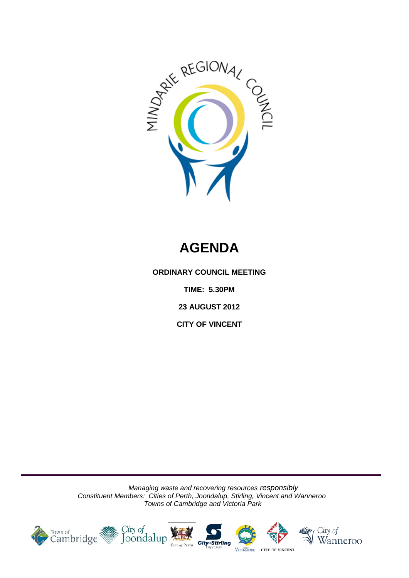

# **AGENDA**

**ORDINARY COUNCIL MEETING**

**TIME: 5.30PM**

**23 AUGUST 2012**

**CITY OF VINCENT**

*Managing waste and recovering resources responsibly Constituent Members: Cities of Perth, Joondalup, Stirling, Vincent and Wanneroo Towns of Cambridge and Victoria Park*

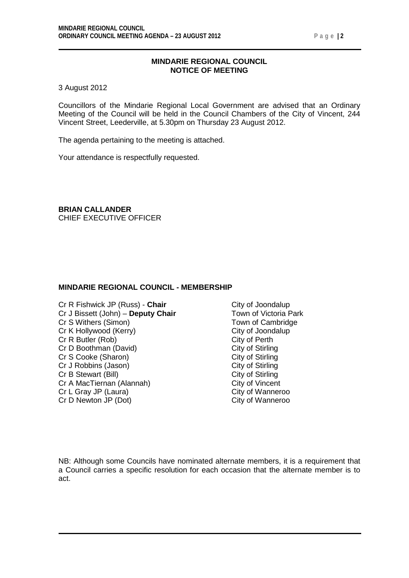#### **MINDARIE REGIONAL COUNCIL NOTICE OF MEETING**

3 August 2012

Councillors of the Mindarie Regional Local Government are advised that an Ordinary Meeting of the Council will be held in the Council Chambers of the City of Vincent, 244 Vincent Street, Leederville, at 5.30pm on Thursday 23 August 2012.

The agenda pertaining to the meeting is attached.

Your attendance is respectfully requested.

**BRIAN CALLANDER** CHIEF EXECUTIVE OFFICER

#### **MINDARIE REGIONAL COUNCIL - MEMBERSHIP**

- Cr R Fishwick JP (Russ) **Chair** Cr R Fishwick JP (Russ) **Chair** Cr J City of Joondalup<br>Cr J Bissett (John) **Deputy Chair** Town of Victoria Park Cr J Bissett (John) – **Deputy Chair** Town of Victoria Par<br>Cr S Withers (Simon) **Town of Cambridge** Cr S Withers (Simon) Cr K Hollywood (Kerry) City of Joondalup Cr R Butler (Rob) City of Perth Cr D Boothman (David) City of Stirling<br>
Cr S Cooke (Sharon) City of Stirling Cr S Cooke (Sharon) City of Stirling<br>
Cr J Robbins (Jason) City of Stirling<br>
City of Stirling Cr J Robbins (Jason) City of Stirling<br>
Cr B Stewart (Bill) City of Stirling Cr B Stewart (Bill)<br>
Cr A MacTiernan (Alannah) Cr A MacTiernan (Alannah) City of Vincent Cr A MacTiernan (Alannah) City of Vincent<br>
Cr L Gray JP (Laura) City of Wanneroo Cr L Gray JP (Laura) Cr D Newton JP (Dot) City of Wanneroo
	-

NB: Although some Councils have nominated alternate members, it is a requirement that a Council carries a specific resolution for each occasion that the alternate member is to act.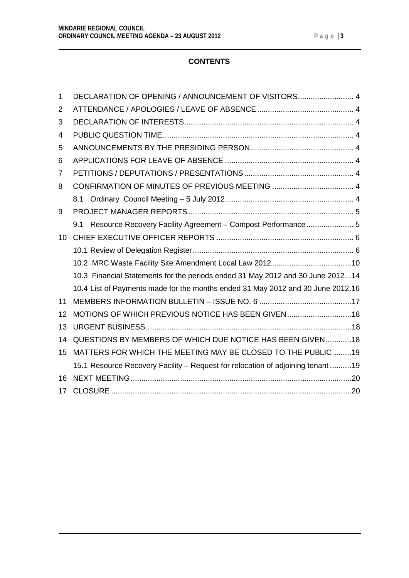### **CONTENTS**

| $\mathbf 1$     | DECLARATION OF OPENING / ANNOUNCEMENT OF VISITORS 4                              |
|-----------------|----------------------------------------------------------------------------------|
| 2               |                                                                                  |
| 3               |                                                                                  |
| 4               |                                                                                  |
| 5               |                                                                                  |
| 6               |                                                                                  |
| 7               |                                                                                  |
| 8               |                                                                                  |
|                 |                                                                                  |
| 9               |                                                                                  |
|                 | 9.1 Resource Recovery Facility Agreement - Compost Performance 5                 |
| 10 <sup>1</sup> |                                                                                  |
|                 |                                                                                  |
|                 |                                                                                  |
|                 | 10.3 Financial Statements for the periods ended 31 May 2012 and 30 June 201214   |
|                 | 10.4 List of Payments made for the months ended 31 May 2012 and 30 June 2012.16  |
| 11              |                                                                                  |
| 12              | MOTIONS OF WHICH PREVIOUS NOTICE HAS BEEN GIVEN18                                |
| 13              |                                                                                  |
| 14              | QUESTIONS BY MEMBERS OF WHICH DUE NOTICE HAS BEEN GIVEN18                        |
| 15              | MATTERS FOR WHICH THE MEETING MAY BE CLOSED TO THE PUBLIC19                      |
|                 | 15.1 Resource Recovery Facility - Request for relocation of adjoining tenant  19 |
| 16              |                                                                                  |
| 17              |                                                                                  |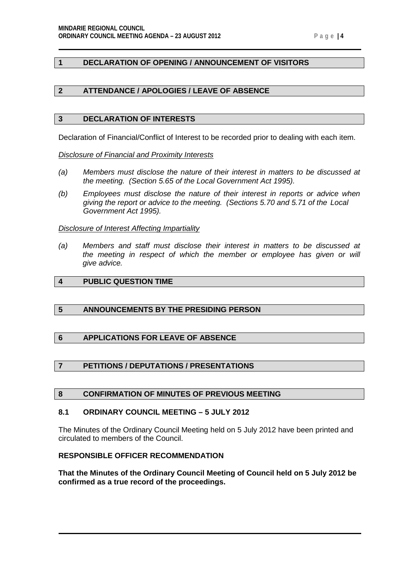#### <span id="page-3-0"></span>**1 DECLARATION OF OPENING / ANNOUNCEMENT OF VISITORS**

#### <span id="page-3-1"></span>**2 ATTENDANCE / APOLOGIES / LEAVE OF ABSENCE**

#### <span id="page-3-2"></span>**3 DECLARATION OF INTERESTS**

Declaration of Financial/Conflict of Interest to be recorded prior to dealing with each item.

*Disclosure of Financial and Proximity Interests*

- *(a) Members must disclose the nature of their interest in matters to be discussed at the meeting. (Section 5.65 of the Local Government Act 1995).*
- *(b) Employees must disclose the nature of their interest in reports or advice when giving the report or advice to the meeting. (Sections 5.70 and 5.71 of the Local Government Act 1995).*

#### *Disclosure of Interest Affecting Impartiality*

*(a) Members and staff must disclose their interest in matters to be discussed at the meeting in respect of which the member or employee has given or will give advice.*

#### <span id="page-3-3"></span>**4 PUBLIC QUESTION TIME**

#### <span id="page-3-4"></span>**5 ANNOUNCEMENTS BY THE PRESIDING PERSON**

#### <span id="page-3-5"></span>**6 APPLICATIONS FOR LEAVE OF ABSENCE**

#### <span id="page-3-6"></span>**7 PETITIONS / DEPUTATIONS / PRESENTATIONS**

#### <span id="page-3-7"></span>**8 CONFIRMATION OF MINUTES OF PREVIOUS MEETING**

#### <span id="page-3-8"></span>**8.1 ORDINARY COUNCIL MEETING – 5 JULY 2012**

The Minutes of the Ordinary Council Meeting held on 5 July 2012 have been printed and circulated to members of the Council.

#### **RESPONSIBLE OFFICER RECOMMENDATION**

**That the Minutes of the Ordinary Council Meeting of Council held on 5 July 2012 be confirmed as a true record of the proceedings.**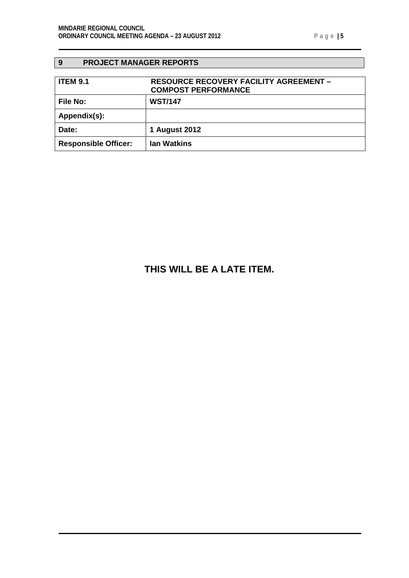### <span id="page-4-0"></span>**9 PROJECT MANAGER REPORTS**

<span id="page-4-1"></span>

| <b>ITEM 9.1</b>             | <b>RESOURCE RECOVERY FACILITY AGREEMENT -</b><br><b>COMPOST PERFORMANCE</b> |
|-----------------------------|-----------------------------------------------------------------------------|
| <b>File No:</b>             | <b>WST/147</b>                                                              |
| Appendix(s):                |                                                                             |
| Date:                       | 1 August 2012                                                               |
| <b>Responsible Officer:</b> | <b>Ian Watkins</b>                                                          |

## **THIS WILL BE A LATE ITEM.**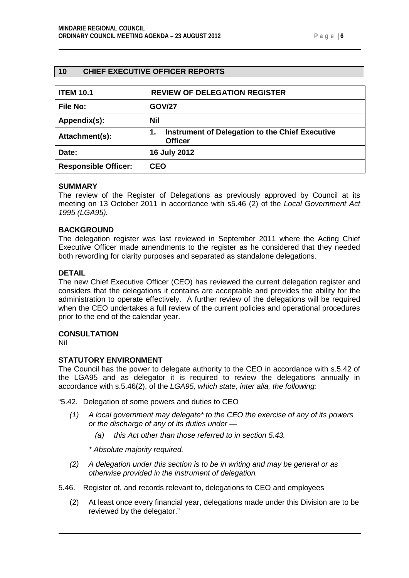<span id="page-5-1"></span>

| <b>ITEM 10.1</b>            | <b>REVIEW OF DELEGATION REGISTER</b>                                    |  |
|-----------------------------|-------------------------------------------------------------------------|--|
| File No:                    | <b>GOV/27</b>                                                           |  |
| Appendix(s):                | Nil                                                                     |  |
| Attachment(s):              | Instrument of Delegation to the Chief Executive<br>1.<br><b>Officer</b> |  |
| Date:                       | 16 July 2012                                                            |  |
| <b>Responsible Officer:</b> | <b>CEO</b>                                                              |  |

#### <span id="page-5-0"></span>**10 CHIEF EXECUTIVE OFFICER REPORTS**

#### **SUMMARY**

The review of the Register of Delegations as previously approved by Council at its meeting on 13 October 2011 in accordance with s5.46 (2) of the *Local Government Act 1995 (LGA95).*

#### **BACKGROUND**

The delegation register was last reviewed in September 2011 where the Acting Chief Executive Officer made amendments to the register as he considered that they needed both rewording for clarity purposes and separated as standalone delegations.

#### **DETAIL**

The new Chief Executive Officer (CEO) has reviewed the current delegation register and considers that the delegations it contains are acceptable and provides the ability for the administration to operate effectively. A further review of the delegations will be required when the CEO undertakes a full review of the current policies and operational procedures prior to the end of the calendar year.

#### **CONSULTATION**

Nil

#### **STATUTORY ENVIRONMENT**

The Council has the power to delegate authority to the CEO in accordance with s.5.42 of the LGA95 and as delegator it is required to review the delegations annually in accordance with s.5.46(2), of the *LGA95, which state, inter alia, the following:*

"5.42. Delegation of some powers and duties to CEO

- *(1) A local government may delegate\* to the CEO the exercise of any of its powers or the discharge of any of its duties under —*
	- *(a) this Act other than those referred to in section 5.43.*
	- *\* Absolute majority required.*
- *(2) A delegation under this section is to be in writing and may be general or as otherwise provided in the instrument of delegation.*
- 5.46. Register of, and records relevant to, delegations to CEO and employees
	- (2) At least once every financial year, delegations made under this Division are to be reviewed by the delegator."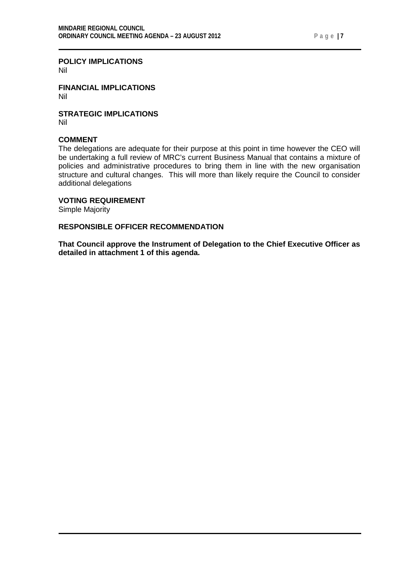#### **POLICY IMPLICATIONS**

Nil

**FINANCIAL IMPLICATIONS** Nil

**STRATEGIC IMPLICATIONS** Nil

#### **COMMENT**

The delegations are adequate for their purpose at this point in time however the CEO will be undertaking a full review of MRC's current Business Manual that contains a mixture of policies and administrative procedures to bring them in line with the new organisation structure and cultural changes. This will more than likely require the Council to consider additional delegations

#### **VOTING REQUIREMENT**

Simple Majority

#### **RESPONSIBLE OFFICER RECOMMENDATION**

**That Council approve the Instrument of Delegation to the Chief Executive Officer as detailed in attachment 1 of this agenda.**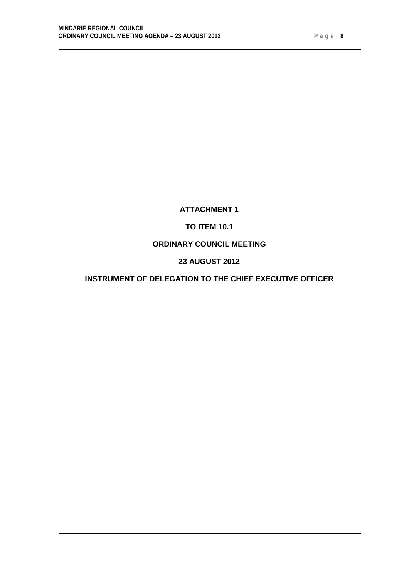# **ATTACHMENT 1**

### **TO ITEM 10.1**

### **ORDINARY COUNCIL MEETING**

### **23 AUGUST 2012**

### **INSTRUMENT OF DELEGATION TO THE CHIEF EXECUTIVE OFFICER**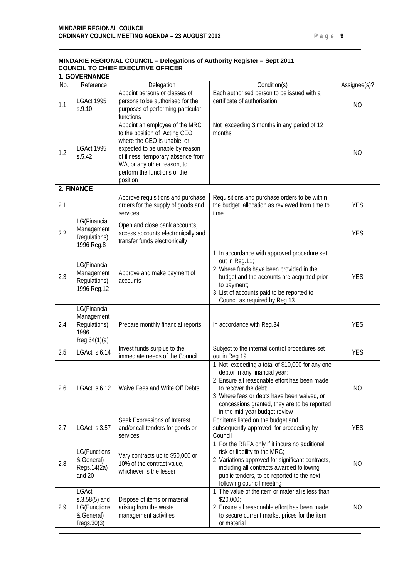|     |                                                           | <u> MINDARIE REGIONAL COUNCIL – DEIEGATIONS OF AUTHOLITY REGISTER – SEPT ZU FI</u><br><b>COUNCIL TO CHIEF EXECUTIVE OFFICER</b>                                                                                                                    |                                                                                                                                                                                                                        |                |
|-----|-----------------------------------------------------------|----------------------------------------------------------------------------------------------------------------------------------------------------------------------------------------------------------------------------------------------------|------------------------------------------------------------------------------------------------------------------------------------------------------------------------------------------------------------------------|----------------|
|     | <b>1. GOVERNANCE</b>                                      |                                                                                                                                                                                                                                                    |                                                                                                                                                                                                                        |                |
| No. | Reference                                                 | Delegation                                                                                                                                                                                                                                         | Condition(s)                                                                                                                                                                                                           | Assignee(s)?   |
| 1.1 | <b>LGAct 1995</b><br>s.9.10                               | Appoint persons or classes of<br>persons to be authorised for the<br>purposes of performing particular<br>functions                                                                                                                                | Each authorised person to be issued with a<br>certificate of authorisation                                                                                                                                             | N <sub>O</sub> |
| 1.2 | <b>LGAct 1995</b><br>S.5.42                               | Appoint an employee of the MRC<br>to the position of Acting CEO<br>where the CEO is unable, or<br>expected to be unable by reason<br>of illness, temporary absence from<br>WA, or any other reason, to<br>perform the functions of the<br>position | Not exceeding 3 months in any period of 12<br>months                                                                                                                                                                   | NO.            |
|     | 2. FINANCE                                                |                                                                                                                                                                                                                                                    |                                                                                                                                                                                                                        |                |
| 2.1 |                                                           | Approve requisitions and purchase<br>orders for the supply of goods and<br>services                                                                                                                                                                | Requisitions and purchase orders to be within<br>the budget allocation as reviewed from time to<br>time                                                                                                                | <b>YES</b>     |
| 2.2 | LG(Financial<br>Management<br>Regulations)<br>1996 Reg.8  | Open and close bank accounts,<br>access accounts electronically and<br>transfer funds electronically                                                                                                                                               |                                                                                                                                                                                                                        | <b>YES</b>     |
| 2.3 | LG(Financial<br>Management<br>Regulations)<br>1996 Reg.12 | Approve and make payment of<br>accounts                                                                                                                                                                                                            | 1. In accordance with approved procedure set<br>out in Reg.11;<br>2. Where funds have been provided in the<br>budget and the accounts are acquitted prior<br>to payment;<br>2. Lot of accounts noted to be reported to | <b>YES</b>     |

# **MINDARIE REGIONAL COUNCIL – Delegations of Authority Register – Sept 2011**

| 2.3 | LG(Financial<br>Management<br>Regulations)<br>1996 Reg.12                   | Approve and make payment of<br>accounts                                                   | T. III acculuatice will approved procedure Set<br>out in Reg.11;<br>2. Where funds have been provided in the<br>budget and the accounts are acquitted prior<br>to payment;<br>3. List of accounts paid to be reported to<br>Council as required by Reg.13                                  | <b>YES</b>     |
|-----|-----------------------------------------------------------------------------|-------------------------------------------------------------------------------------------|--------------------------------------------------------------------------------------------------------------------------------------------------------------------------------------------------------------------------------------------------------------------------------------------|----------------|
| 2.4 | LG(Financial<br>Management<br>Regulations)<br>1996<br>Reg.34(1)(a)          | Prepare monthly financial reports                                                         | In accordance with Reg.34                                                                                                                                                                                                                                                                  | <b>YES</b>     |
| 2.5 | LGAct s.6.14                                                                | Invest funds surplus to the<br>immediate needs of the Council                             | Subject to the internal control procedures set<br>out in Reg.19                                                                                                                                                                                                                            | <b>YES</b>     |
| 2.6 | LGAct s.6.12                                                                | Waive Fees and Write Off Debts                                                            | 1. Not exceeding a total of \$10,000 for any one<br>debtor in any financial year;<br>2. Ensure all reasonable effort has been made<br>to recover the debt;<br>3. Where fees or debts have been waived, or<br>concessions granted, they are to be reported<br>in the mid-year budget review | <b>NO</b>      |
| 2.7 | LGAct s.3.57                                                                | Seek Expressions of Interest<br>and/or call tenders for goods or<br>services              | For items listed on the budget and<br>subsequently approved for proceeding by<br>Council                                                                                                                                                                                                   | <b>YES</b>     |
| 2.8 | LG(Functions<br>& General)<br>Regs. 14(2a)<br>and 20                        | Vary contracts up to \$50,000 or<br>10% of the contract value.<br>whichever is the lesser | 1. For the RRFA only if it incurs no additional<br>risk or liability to the MRC;<br>2. Variations approved for significant contracts,<br>including all contracts awarded following<br>public tenders, to be reported to the next<br>following council meeting                              | N <sub>O</sub> |
| 2.9 | <b>LGAct</b><br>$s.3.58(5)$ and<br>LG(Functions<br>& General)<br>Regs.30(3) | Dispose of items or material<br>arising from the waste<br>management activities           | 1. The value of the item or material is less than<br>\$20,000;<br>2. Ensure all reasonable effort has been made<br>to secure current market prices for the item<br>or material                                                                                                             | <b>NO</b>      |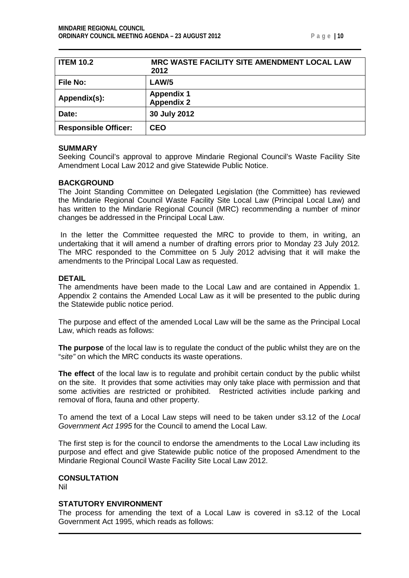<span id="page-9-0"></span>

| <b>ITEM 10.2</b>            | MRC WASTE FACILITY SITE AMENDMENT LOCAL LAW<br>2012 |
|-----------------------------|-----------------------------------------------------|
| <b>File No:</b>             | LAW/5                                               |
| Appendix(s):                | <b>Appendix 1</b><br><b>Appendix 2</b>              |
| Date:                       | 30 July 2012                                        |
| <b>Responsible Officer:</b> | <b>CEO</b>                                          |

#### **SUMMARY**

Seeking Council's approval to approve Mindarie Regional Council's Waste Facility Site Amendment Local Law 2012 and give Statewide Public Notice.

#### **BACKGROUND**

The Joint Standing Committee on Delegated Legislation (the Committee) has reviewed the Mindarie Regional Council Waste Facility Site Local Law (Principal Local Law) and has written to the Mindarie Regional Council (MRC) recommending a number of minor changes be addressed in the Principal Local Law.

In the letter the Committee requested the MRC to provide to them, in writing, an undertaking that it will amend a number of drafting errors prior to Monday 23 July 2012*.* The MRC responded to the Committee on 5 July 2012 advising that it will make the amendments to the Principal Local Law as requested.

#### **DETAIL**

The amendments have been made to the Local Law and are contained in Appendix 1. Appendix 2 contains the Amended Local Law as it will be presented to the public during the Statewide public notice period.

The purpose and effect of the amended Local Law will be the same as the Principal Local Law, which reads as follows:

**The purpose** of the local law is to regulate the conduct of the public whilst they are on the "*site"* on which the MRC conducts its waste operations.

**The effect** of the local law is to regulate and prohibit certain conduct by the public whilst on the site. It provides that some activities may only take place with permission and that some activities are restricted or prohibited. Restricted activities include parking and removal of flora, fauna and other property.

To amend the text of a Local Law steps will need to be taken under s3.12 of the *Local Government Act 1995* for the Council to amend the Local Law.

The first step is for the council to endorse the amendments to the Local Law including its purpose and effect and give Statewide public notice of the proposed Amendment to the Mindarie Regional Council Waste Facility Site Local Law 2012.

#### **CONSULTATION** Nil

#### **STATUTORY ENVIRONMENT**

The process for amending the text of a Local Law is covered in s3.12 of the Local Government Act 1995, which reads as follows: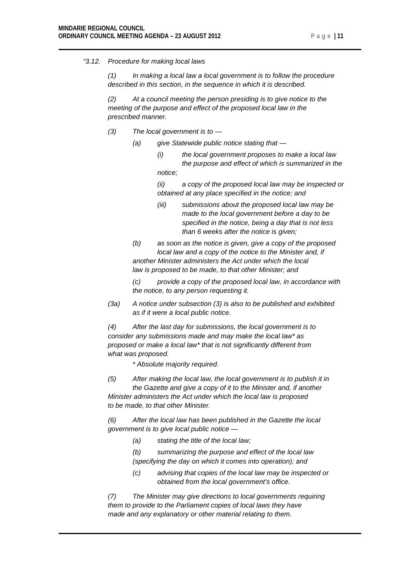#### *"3.12. Procedure for making local laws*

*(1) In making a local law a local government is to follow the procedure described in this section, in the sequence in which it is described.*

*(2) At a council meeting the person presiding is to give notice to the meeting of the purpose and effect of the proposed local law in the prescribed manner.*

- *(3) The local government is to —*
	- *(a) give Statewide public notice stating that —*
		- *(i) the local government proposes to make a local law the purpose and effect of which is summarized in the notice;*

*(ii) a copy of the proposed local law may be inspected or obtained at any place specified in the notice; and*

- *(iii) submissions about the proposed local law may be made to the local government before a day to be specified in the notice, being a day that is not less than 6 weeks after the notice is given;*
- *(b) as soon as the notice is given, give a copy of the proposed local law and a copy of the notice to the Minister and, if another Minister administers the Act under which the local law is proposed to be made, to that other Minister; and*

*(c) provide a copy of the proposed local law, in accordance with the notice, to any person requesting it.*

*(3a) A notice under subsection (3) is also to be published and exhibited as if it were a local public notice.*

*(4) After the last day for submissions, the local government is to consider any submissions made and may make the local law\* as proposed or make a local law\* that is not significantly different from what was proposed.*

*\* Absolute majority required.*

*(5) After making the local law, the local government is to publish it in the Gazette and give a copy of it to the Minister and, if another Minister administers the Act under which the local law is proposed to be made, to that other Minister.*

*(6) After the local law has been published in the Gazette the local government is to give local public notice —*

- *(a) stating the title of the local law;*
- *(b) summarizing the purpose and effect of the local law (specifying the day on which it comes into operation); and*
- *(c) advising that copies of the local law may be inspected or obtained from the local government's office.*

*(7) The Minister may give directions to local governments requiring them to provide to the Parliament copies of local laws they have made and any explanatory or other material relating to them.*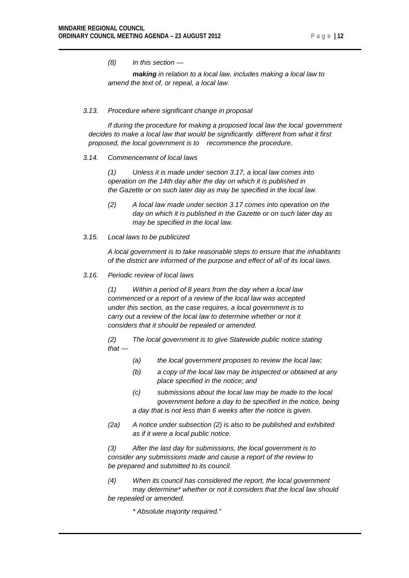*(8) In this section —*

*making in relation to a local law, includes making a local law to amend the text of, or repeal, a local law.*

#### *3.13. Procedure where significant change in proposal*

*If during the procedure for making a proposed local law the local government decides to make a local law that would be significantly different from what it first proposed, the local government is to recommence the procedure.*

#### *3.14. Commencement of local laws*

*(1) Unless it is made under section 3.17, a local law comes into operation on the 14th day after the day on which it is published in the Gazette or on such later day as may be specified in the local law.*

- *(2) A local law made under section 3.17 comes into operation on the day on which it is published in the Gazette or on such later day as may be specified in the local law.*
- *3.15. Local laws to be publicized*

*A local government is to take reasonable steps to ensure that the inhabitants of the district are informed of the purpose and effect of all of its local laws.*

*3.16. Periodic review of local laws*

*(1) Within a period of 8 years from the day when a local law commenced or a report of a review of the local law was accepted under this section, as the case requires, a local government is to carry out a review of the local law to determine whether or not it considers that it should be repealed or amended.*

*(2) The local government is to give Statewide public notice stating that —*

- *(a) the local government proposes to review the local law;*
- *(b) a copy of the local law may be inspected or obtained at any place specified in the notice; and*
- *(c) submissions about the local law may be made to the local government before a day to be specified in the notice, being a day that is not less than 6 weeks after the notice is given.*
- *(2a) A notice under subsection (2) is also to be published and exhibited as if it were a local public notice.*

*(3) After the last day for submissions, the local government is to consider any submissions made and cause a report of the review to be prepared and submitted to its council.*

*(4) When its council has considered the report, the local government may determine\* whether or not it considers that the local law should be repealed or amended.*

*\* Absolute majority required."*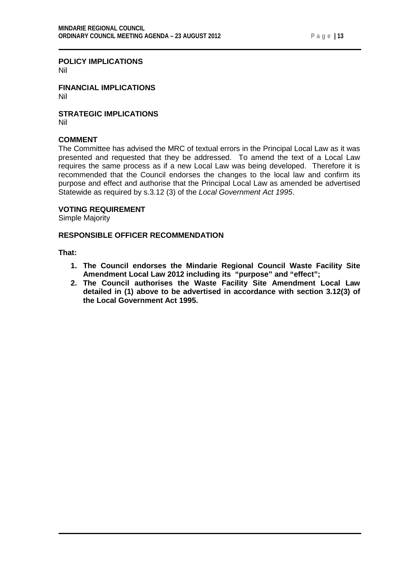#### **POLICY IMPLICATIONS**

Nil

**FINANCIAL IMPLICATIONS** Nil

**STRATEGIC IMPLICATIONS** Nil

#### **COMMENT**

The Committee has advised the MRC of textual errors in the Principal Local Law as it was presented and requested that they be addressed. To amend the text of a Local Law requires the same process as if a new Local Law was being developed. Therefore it is recommended that the Council endorses the changes to the local law and confirm its purpose and effect and authorise that the Principal Local Law as amended be advertised Statewide as required by s.3.12 (3) of the *Local Government Act 1995*.

#### **VOTING REQUIREMENT**

Simple Majority

#### **RESPONSIBLE OFFICER RECOMMENDATION**

**That:**

- **1. The Council endorses the Mindarie Regional Council Waste Facility Site Amendment Local Law 2012 including its "purpose" and "effect";**
- **2. The Council authorises the Waste Facility Site Amendment Local Law detailed in (1) above to be advertised in accordance with section 3.12(3) of the Local Government Act 1995.**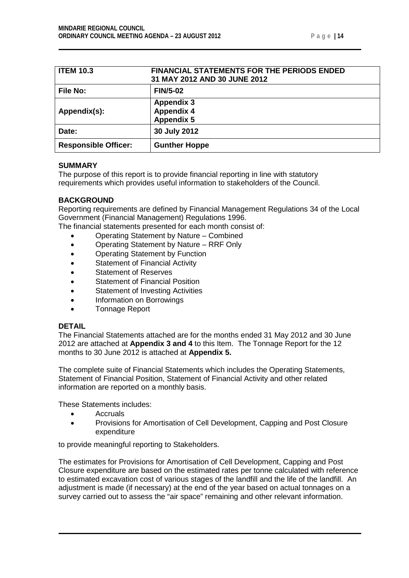|  |  |  |  | 14 |
|--|--|--|--|----|
|--|--|--|--|----|

<span id="page-13-0"></span>

| <b>ITEM 10.3</b>            | <b>FINANCIAL STATEMENTS FOR THE PERIODS ENDED</b><br>31 MAY 2012 AND 30 JUNE 2012 |
|-----------------------------|-----------------------------------------------------------------------------------|
| <b>File No:</b>             | <b>FIN/5-02</b>                                                                   |
| Appendix(s):                | <b>Appendix 3</b><br><b>Appendix 4</b><br><b>Appendix 5</b>                       |
| Date:                       | 30 July 2012                                                                      |
| <b>Responsible Officer:</b> | <b>Gunther Hoppe</b>                                                              |

#### **SUMMARY**

The purpose of this report is to provide financial reporting in line with statutory requirements which provides useful information to stakeholders of the Council.

#### **BACKGROUND**

Reporting requirements are defined by Financial Management Regulations 34 of the Local Government (Financial Management) Regulations 1996.

The financial statements presented for each month consist of:

- Operating Statement by Nature Combined
- Operating Statement by Nature RRF Only
- Operating Statement by Function
- Statement of Financial Activity
- Statement of Reserves
- Statement of Financial Position
- Statement of Investing Activities
- Information on Borrowings
- Tonnage Report

#### **DETAIL**

The Financial Statements attached are for the months ended 31 May 2012 and 30 June 2012 are attached at **Appendix 3 and 4** to this Item. The Tonnage Report for the 12 months to 30 June 2012 is attached at **Appendix 5.**

The complete suite of Financial Statements which includes the Operating Statements, Statement of Financial Position, Statement of Financial Activity and other related information are reported on a monthly basis.

These Statements includes:

- Accruals
- Provisions for Amortisation of Cell Development, Capping and Post Closure expenditure

to provide meaningful reporting to Stakeholders.

The estimates for Provisions for Amortisation of Cell Development, Capping and Post Closure expenditure are based on the estimated rates per tonne calculated with reference to estimated excavation cost of various stages of the landfill and the life of the landfill. An adjustment is made (if necessary) at the end of the year based on actual tonnages on a survey carried out to assess the "air space" remaining and other relevant information.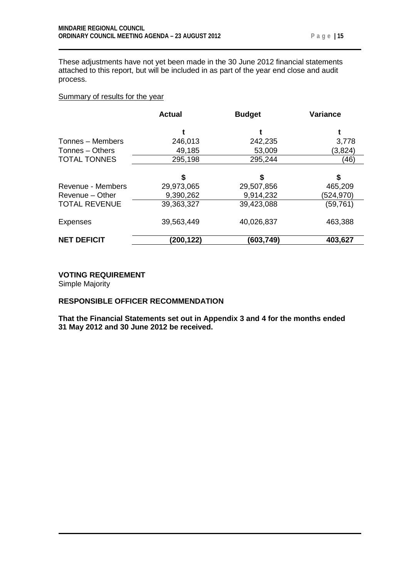These adjustments have not yet been made in the 30 June 2012 financial statements attached to this report, but will be included in as part of the year end close and audit process.

#### Summary of results for the year

|                      | <b>Actual</b> | <b>Budget</b> | <b>Variance</b> |
|----------------------|---------------|---------------|-----------------|
|                      |               |               |                 |
| Tonnes - Members     | 246,013       | 242,235       | 3,778           |
| Tonnes – Others      | 49,185        | 53,009        | (3,824)         |
| <b>TOTAL TONNES</b>  | 295,198       | 295,244       | (46)            |
|                      |               |               |                 |
|                      | \$            | S             | \$              |
| Revenue - Members    | 29,973,065    | 29,507,856    | 465,209         |
| Revenue – Other      | 9,390,262     | 9,914,232     | (524,970)       |
| <b>TOTAL REVENUE</b> | 39,363,327    | 39,423,088    | (59,761)        |
| <b>Expenses</b>      | 39,563,449    | 40,026,837    | 463,388         |
| <b>NET DEFICIT</b>   | (200,122)     | (603,749)     | 403,627         |

#### **VOTING REQUIREMENT**

Simple Majority

#### **RESPONSIBLE OFFICER RECOMMENDATION**

**That the Financial Statements set out in Appendix 3 and 4 for the months ended 31 May 2012 and 30 June 2012 be received.**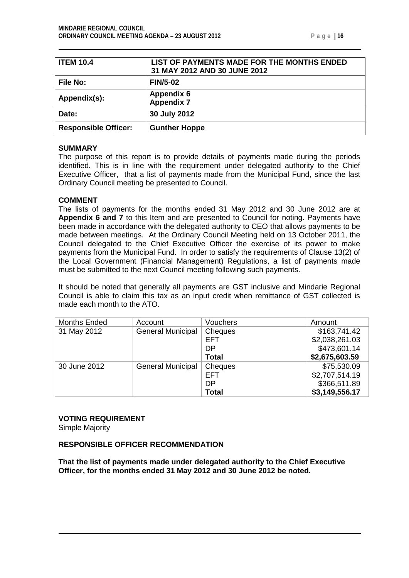<span id="page-15-0"></span>

| <b>ITEM 10.4</b>            | LIST OF PAYMENTS MADE FOR THE MONTHS ENDED<br>31 MAY 2012 AND 30 JUNE 2012 |
|-----------------------------|----------------------------------------------------------------------------|
| <b>File No:</b>             | <b>FIN/5-02</b>                                                            |
| Appendix(s):                | <b>Appendix 6</b><br><b>Appendix 7</b>                                     |
| Date:                       | 30 July 2012                                                               |
| <b>Responsible Officer:</b> | <b>Gunther Hoppe</b>                                                       |

#### **SUMMARY**

The purpose of this report is to provide details of payments made during the periods identified. This is in line with the requirement under delegated authority to the Chief Executive Officer, that a list of payments made from the Municipal Fund, since the last Ordinary Council meeting be presented to Council.

#### **COMMENT**

The lists of payments for the months ended 31 May 2012 and 30 June 2012 are at **Appendix 6 and 7** to this Item and are presented to Council for noting. Payments have been made in accordance with the delegated authority to CEO that allows payments to be made between meetings. At the Ordinary Council Meeting held on 13 October 2011, the Council delegated to the Chief Executive Officer the exercise of its power to make payments from the Municipal Fund. In order to satisfy the requirements of Clause 13(2) of the Local Government (Financial Management) Regulations, a list of payments made must be submitted to the next Council meeting following such payments.

It should be noted that generally all payments are GST inclusive and Mindarie Regional Council is able to claim this tax as an input credit when remittance of GST collected is made each month to the ATO.

| <b>Months Ended</b> | Account                  | <b>Vouchers</b> | Amount         |
|---------------------|--------------------------|-----------------|----------------|
| 31 May 2012         | <b>General Municipal</b> | Cheques         | \$163,741.42   |
|                     |                          | <b>EFT</b>      | \$2,038,261.03 |
|                     |                          | DP              | \$473,601.14   |
|                     |                          | <b>Total</b>    | \$2,675,603.59 |
| 30 June 2012        | <b>General Municipal</b> | Cheques         | \$75,530.09    |
|                     |                          | <b>EFT</b>      | \$2,707,514.19 |
|                     |                          | DP              | \$366,511.89   |
|                     |                          | <b>Total</b>    | \$3,149,556.17 |

# **VOTING REQUIREMENT**

Simple Majority

#### **RESPONSIBLE OFFICER RECOMMENDATION**

**That the list of payments made under delegated authority to the Chief Executive Officer, for the months ended 31 May 2012 and 30 June 2012 be noted.**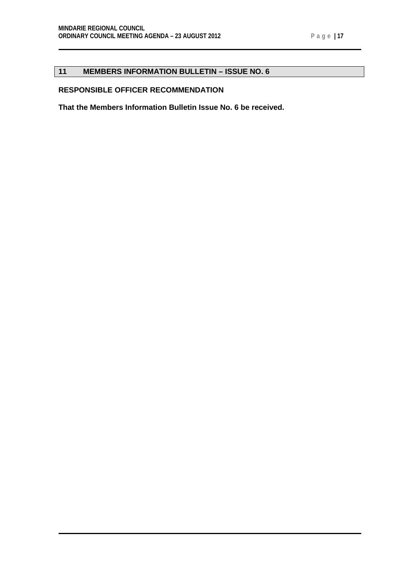### <span id="page-16-0"></span>**11 MEMBERS INFORMATION BULLETIN – ISSUE NO. 6**

### **RESPONSIBLE OFFICER RECOMMENDATION**

**That the Members Information Bulletin Issue No. 6 be received.**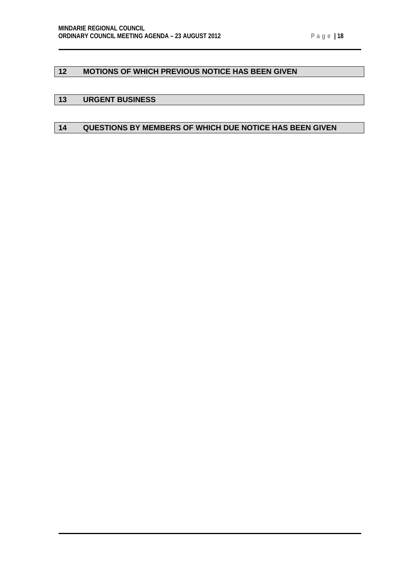### <span id="page-17-0"></span>**12 MOTIONS OF WHICH PREVIOUS NOTICE HAS BEEN GIVEN**

#### <span id="page-17-1"></span>**13 URGENT BUSINESS**

### <span id="page-17-2"></span>**14 QUESTIONS BY MEMBERS OF WHICH DUE NOTICE HAS BEEN GIVEN**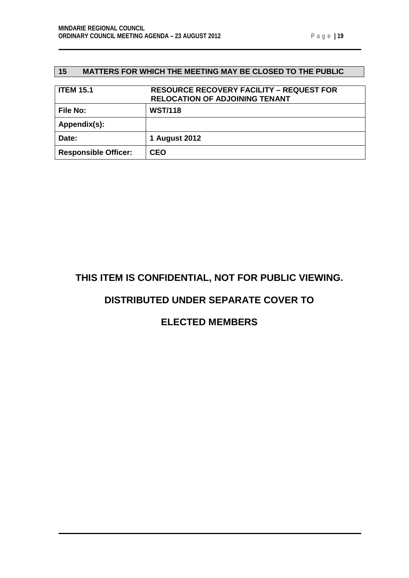### <span id="page-18-0"></span>**15 MATTERS FOR WHICH THE MEETING MAY BE CLOSED TO THE PUBLIC**

<span id="page-18-1"></span>

| <b>ITEM 15.1</b>            | <b>RESOURCE RECOVERY FACILITY - REQUEST FOR</b><br><b>RELOCATION OF ADJOINING TENANT</b> |
|-----------------------------|------------------------------------------------------------------------------------------|
| <b>File No:</b>             | <b>WST/118</b>                                                                           |
| Appendix(s):                |                                                                                          |
| Date:                       | 1 August 2012                                                                            |
| <b>Responsible Officer:</b> | <b>CEO</b>                                                                               |

# **THIS ITEM IS CONFIDENTIAL, NOT FOR PUBLIC VIEWING.**

### **DISTRIBUTED UNDER SEPARATE COVER TO**

## **ELECTED MEMBERS**